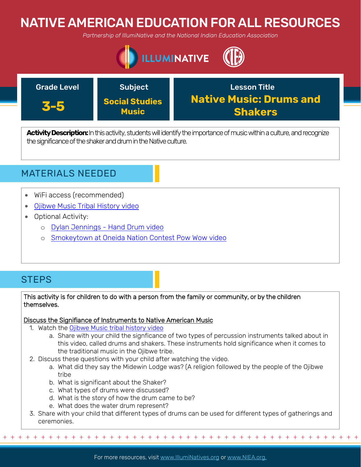# NATIVE AMERICAN EDUCATION FOR ALL RESOURCES

*Partnership of IllumiNative and the National Indian Education Association*





Activity Description: In this activity, students will identify the importance of music within a culture, and recognize the significance of the shaker and drum in the Native culture.



- WiFi access (recommended)
- [Ojibwe Music Tribal History video](https://wisconsinfirstnations.org/tribal-histories-ojibwe-music/)
- Optional Activity:
	- o [Dylan Jennings Hand Drum video](https://www.youtube.com/watch?v=yvUX4j1svBk&feature=youtu.be)
	- o [Smokeytown at Oneida Nation Contest Pow Wow video](https://www.youtube.com/watch?v=NA12_IZ0KIQ&feature=youtu.be)

## **STEPS**

### This activity is for children to do with a person from the family or community, or by the children themselves.

#### Discuss the Signifiance of Instruments to Native American Music

- 1. Watch the [Ojibwe Music tribal history video](https://wisconsinfirstnations.org/tribal-histories-ojibwe-music/)
	- a. Share with your child the signficance of two types of percussion instruments talked about in this video, called drums and shakers. These instruments hold significance when it comes to the traditional music in the Ojibwe tribe.
- 2. Discuss these questions with your child after watching the video.
	- a. What did they say the Midewin Lodge was? (A religion followed by the people of the Ojibwe tribe
	- b. What is significant about the Shaker?
	- c. What types of drums were discussed?
	- d. What is the story of how the drum came to be?
	- e. What does the water drum represent?
- 3. Share with your child that different types of drums can be used for different types of gatherings and ceremonies.

+ + + + + + + + + + + + + + + + + + + + + + + + + + + + + + + + + + + + + + + + + + + + + + + +

For more resources, visit www.lllumiNatives.org or www.NIEA.org.